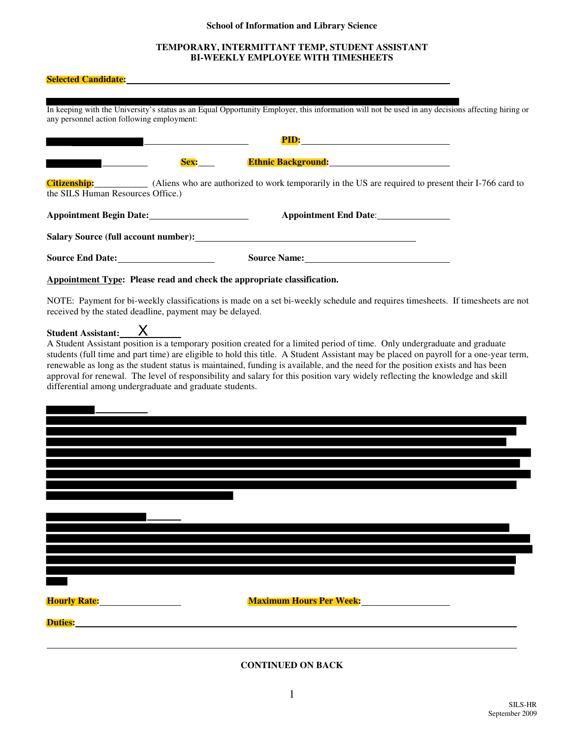# **School of Information and Library Science**

# **TEMPORARY, INTERMITTANT TEMP, STUDENT ASSISTANT BI-WEEKLY EMPLOYEE WITH TIMESHEETS**

| Selected Candidate: <u>Selected Candidate:</u>                                                                                                                                                                                                                                                                                                                                                                                                                                                                                                                                                                            |
|---------------------------------------------------------------------------------------------------------------------------------------------------------------------------------------------------------------------------------------------------------------------------------------------------------------------------------------------------------------------------------------------------------------------------------------------------------------------------------------------------------------------------------------------------------------------------------------------------------------------------|
| In keeping with the University's status as an Equal Opportunity Employer, this information will not be used in any decisions affecting hiring or<br>any personnel action following employment:                                                                                                                                                                                                                                                                                                                                                                                                                            |
|                                                                                                                                                                                                                                                                                                                                                                                                                                                                                                                                                                                                                           |
| Sex: Ethnic Background: Ethnic Background:                                                                                                                                                                                                                                                                                                                                                                                                                                                                                                                                                                                |
| <b>Citizenship:</b> (Aliens who are authorized to work temporarily in the US are required to present their I-766 card to<br>the SILS Human Resources Office.)                                                                                                                                                                                                                                                                                                                                                                                                                                                             |
| Appointment End Date:                                                                                                                                                                                                                                                                                                                                                                                                                                                                                                                                                                                                     |
| Salary Source (full account number): Salary Source (full account number):                                                                                                                                                                                                                                                                                                                                                                                                                                                                                                                                                 |
| Source End Date: Source Name: Source Name:                                                                                                                                                                                                                                                                                                                                                                                                                                                                                                                                                                                |
| Appointment Type: Please read and check the appropriate classification.                                                                                                                                                                                                                                                                                                                                                                                                                                                                                                                                                   |
| NOTE: Payment for bi-weekly classifications is made on a set bi-weekly schedule and requires timesheets. If timesheets are not<br>received by the stated deadline, payment may be delayed.                                                                                                                                                                                                                                                                                                                                                                                                                                |
| Student Assistant: X<br>A Student Assistant position is a temporary position created for a limited period of time. Only undergraduate and graduate<br>students (full time and part time) are eligible to hold this title. A Student Assistant may be placed on payroll for a one-year term,<br>renewable as long as the student status is maintained, funding is available, and the need for the position exists and has been<br>approval for renewal. The level of responsibility and salary for this position vary widely reflecting the knowledge and skill<br>differential among undergraduate and graduate students. |
|                                                                                                                                                                                                                                                                                                                                                                                                                                                                                                                                                                                                                           |
|                                                                                                                                                                                                                                                                                                                                                                                                                                                                                                                                                                                                                           |
|                                                                                                                                                                                                                                                                                                                                                                                                                                                                                                                                                                                                                           |
|                                                                                                                                                                                                                                                                                                                                                                                                                                                                                                                                                                                                                           |
|                                                                                                                                                                                                                                                                                                                                                                                                                                                                                                                                                                                                                           |
|                                                                                                                                                                                                                                                                                                                                                                                                                                                                                                                                                                                                                           |
|                                                                                                                                                                                                                                                                                                                                                                                                                                                                                                                                                                                                                           |
|                                                                                                                                                                                                                                                                                                                                                                                                                                                                                                                                                                                                                           |
|                                                                                                                                                                                                                                                                                                                                                                                                                                                                                                                                                                                                                           |
| <b>Maximum Hours Per Week: Maximum Hours Per Week: Maximum 1997</b>                                                                                                                                                                                                                                                                                                                                                                                                                                                                                                                                                       |
|                                                                                                                                                                                                                                                                                                                                                                                                                                                                                                                                                                                                                           |
| <b>CONTINUED ON BACK</b>                                                                                                                                                                                                                                                                                                                                                                                                                                                                                                                                                                                                  |